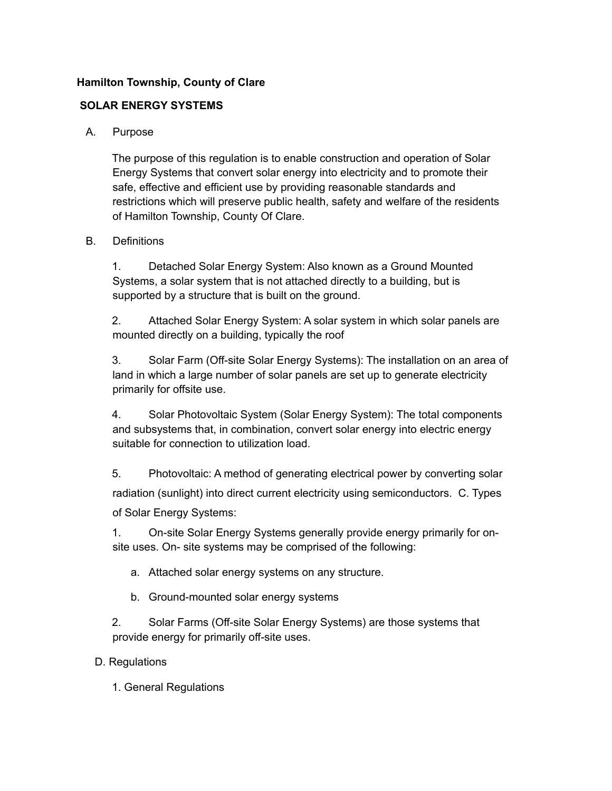# **Hamilton Township, County of Clare**

# **SOLAR ENERGY SYSTEMS**

### A. Purpose

The purpose of this regulation is to enable construction and operation of Solar Energy Systems that convert solar energy into electricity and to promote their safe, effective and efficient use by providing reasonable standards and restrictions which will preserve public health, safety and welfare of the residents of Hamilton Township, County Of Clare.

#### B. Definitions

1. Detached Solar Energy System: Also known as a Ground Mounted Systems, a solar system that is not attached directly to a building, but is supported by a structure that is built on the ground.

2. Attached Solar Energy System: A solar system in which solar panels are mounted directly on a building, typically the roof

3. Solar Farm (Off-site Solar Energy Systems): The installation on an area of land in which a large number of solar panels are set up to generate electricity primarily for offsite use.

4. Solar Photovoltaic System (Solar Energy System): The total components and subsystems that, in combination, convert solar energy into electric energy suitable for connection to utilization load.

5. Photovoltaic: A method of generating electrical power by converting solar radiation (sunlight) into direct current electricity using semiconductors. C. Types of Solar Energy Systems:

1. On-site Solar Energy Systems generally provide energy primarily for onsite uses. On- site systems may be comprised of the following:

a. Attached solar energy systems on any structure.

b. Ground-mounted solar energy systems

2. Solar Farms (Off-site Solar Energy Systems) are those systems that provide energy for primarily off-site uses.

# D. Regulations

1. General Regulations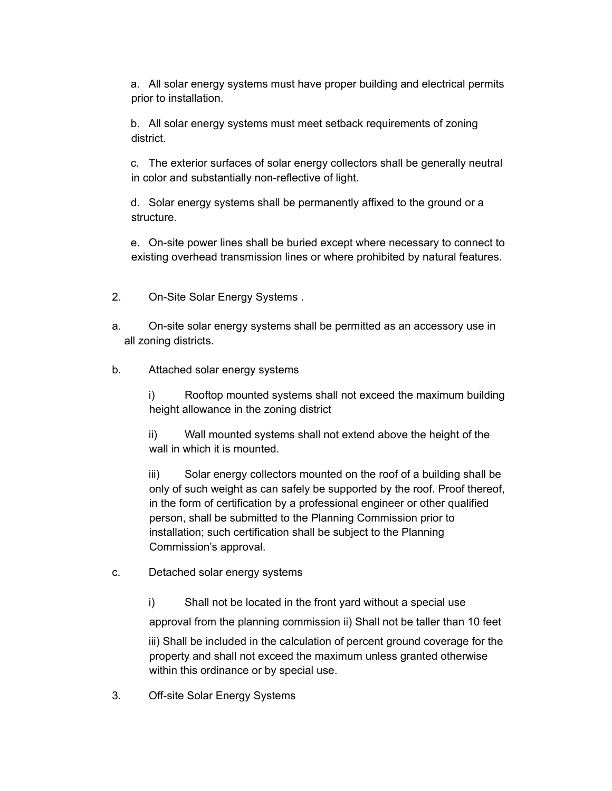a. All solar energy systems must have proper building and electrical permits prior to installation.

b. All solar energy systems must meet setback requirements of zoning district.

c. The exterior surfaces of solar energy collectors shall be generally neutral in color and substantially non-reflective of light.

d. Solar energy systems shall be permanently affixed to the ground or a structure.

e. On-site power lines shall be buried except where necessary to connect to existing overhead transmission lines or where prohibited by natural features.

- 2. On-Site Solar Energy Systems .
- a. On-site solar energy systems shall be permitted as an accessory use in all zoning districts.
- b. Attached solar energy systems

i) Rooftop mounted systems shall not exceed the maximum building height allowance in the zoning district

ii) Wall mounted systems shall not extend above the height of the wall in which it is mounted.

iii) Solar energy collectors mounted on the roof of a building shall be only of such weight as can safely be supported by the roof. Proof thereof, in the form of certification by a professional engineer or other qualified person, shall be submitted to the Planning Commission prior to installation; such certification shall be subject to the Planning Commission's approval.

c. Detached solar energy systems

i) Shall not be located in the front yard without a special use

approval from the planning commission ii) Shall not be taller than 10 feet

iii) Shall be included in the calculation of percent ground coverage for the property and shall not exceed the maximum unless granted otherwise within this ordinance or by special use.

3. Off-site Solar Energy Systems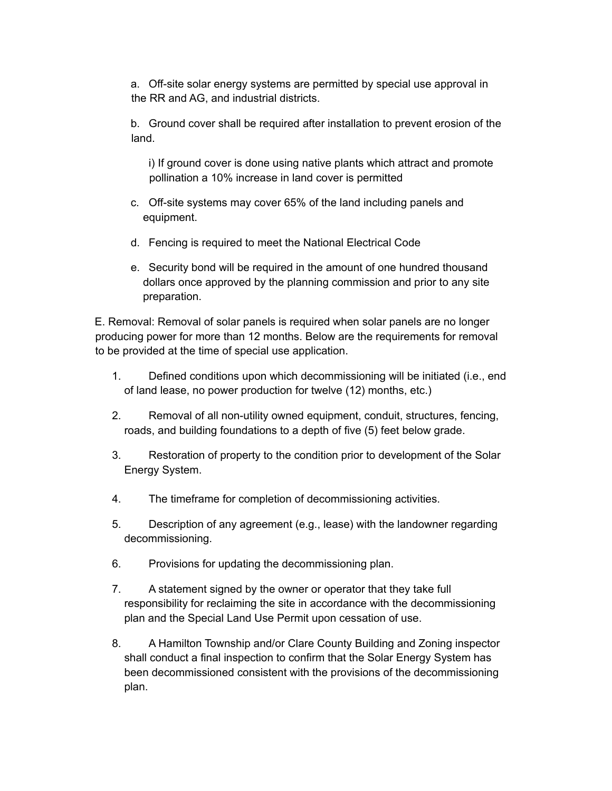a. Off-site solar energy systems are permitted by special use approval in the RR and AG, and industrial districts.

b. Ground cover shall be required after installation to prevent erosion of the land.

i) If ground cover is done using native plants which attract and promote pollination a 10% increase in land cover is permitted

- c. Off-site systems may cover 65% of the land including panels and equipment.
- d. Fencing is required to meet the National Electrical Code
- e. Security bond will be required in the amount of one hundred thousand dollars once approved by the planning commission and prior to any site preparation.

E. Removal: Removal of solar panels is required when solar panels are no longer producing power for more than 12 months. Below are the requirements for removal to be provided at the time of special use application.

- 1. Defined conditions upon which decommissioning will be initiated (i.e., end of land lease, no power production for twelve (12) months, etc.)
- 2. Removal of all non-utility owned equipment, conduit, structures, fencing, roads, and building foundations to a depth of five (5) feet below grade.
- 3. Restoration of property to the condition prior to development of the Solar Energy System.
- 4. The timeframe for completion of decommissioning activities.
- 5. Description of any agreement (e.g., lease) with the landowner regarding decommissioning.
- 6. Provisions for updating the decommissioning plan.
- 7. A statement signed by the owner or operator that they take full responsibility for reclaiming the site in accordance with the decommissioning plan and the Special Land Use Permit upon cessation of use.
- 8. A Hamilton Township and/or Clare County Building and Zoning inspector shall conduct a final inspection to confirm that the Solar Energy System has been decommissioned consistent with the provisions of the decommissioning plan.